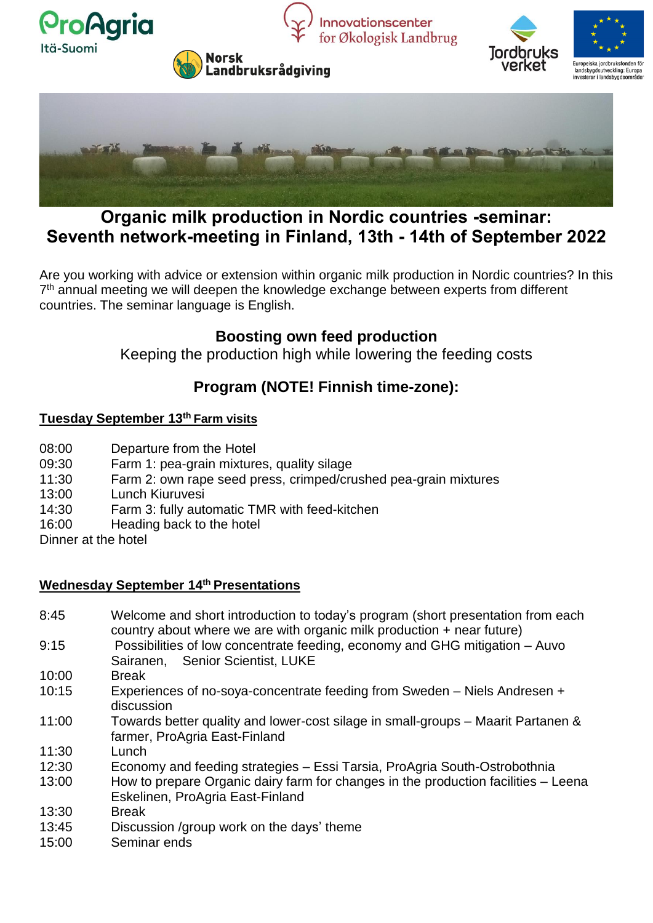



# **Organic milk production in Nordic countries -seminar: Seventh network-meeting in Finland, 13th - 14th of September 2022**

Are you working with advice or extension within organic milk production in Nordic countries? In this 7<sup>th</sup> annual meeting we will deepen the knowledge exchange between experts from different countries. The seminar language is English.

### **Boosting own feed production**

Keeping the production high while lowering the feeding costs

### **Program (NOTE! Finnish time-zone):**

#### **Tuesday September 13th Farm visits**

- 08:00 Departure from the Hotel
- 09:30 Farm 1: pea-grain mixtures, quality silage
- 11:30 Farm 2: own rape seed press, crimped/crushed pea-grain mixtures
- 13:00 Lunch Kiuruvesi
- 14:30 Farm 3: fully automatic TMR with feed-kitchen
- 16:00 Heading back to the hotel
- Dinner at the hotel

### **Wednesday September 14th Presentations**

- 8:45 Welcome and short introduction to today's program (short presentation from each country about where we are with organic milk production + near future)
- 9:15 Possibilities of low concentrate feeding, economy and GHG mitigation Auvo Sairanen, Senior Scientist, LUKE
- 10:00 Break
- 10:15 Experiences of no-soya-concentrate feeding from Sweden Niels Andresen + discussion
- 11:00 Towards better quality and lower-cost silage in small-groups Maarit Partanen & farmer, ProAgria East-Finland
- 11:30 Lunch
- 12:30 Economy and feeding strategies Essi Tarsia, ProAgria South-Ostrobothnia
- 13:00 How to prepare Organic dairy farm for changes in the production facilities Leena Eskelinen, ProAgria East-Finland
- 13:30 Break
- 13:45 Discussion /group work on the days' theme
- 15:00 Seminar ends